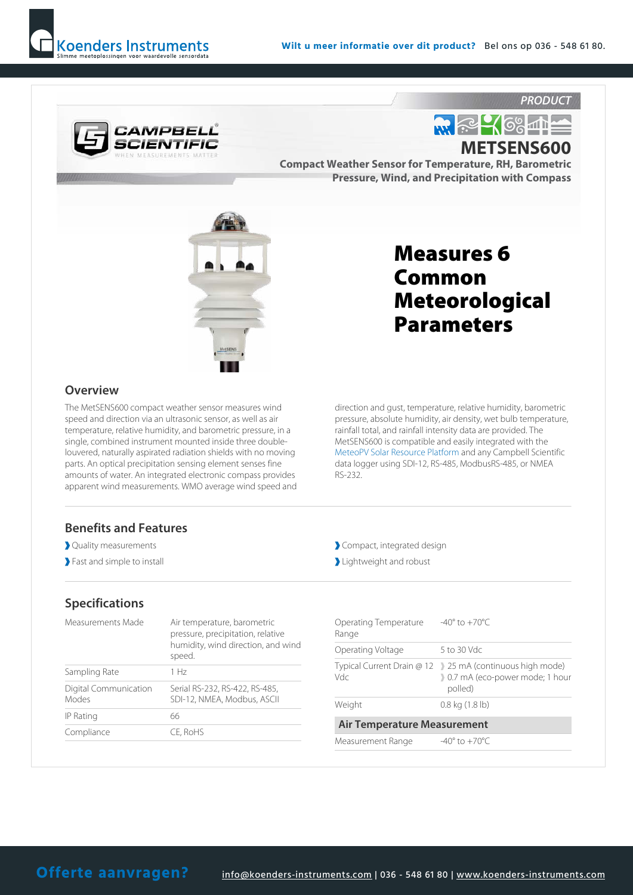



### METSENS600

Compact Weather Sensor for Temperature, RH, Barometric Pressure, Wind, and Precipitation with Compass



#### **Overview**

The MetSENS600 compact weather sensor measures wind speed and direction via an ultrasonic sensor, as well as air temperature, relative humidity, and barometric pressure, in a single, combined instrument mounted inside three doublelouvered, naturally aspirated radiation shields with no moving parts. An optical precipitation sensing element senses fine amounts of water. An integrated electronic compass provides apparent wind measurements. WMO average wind speed and

## Measures 6 Common Meteorological Parameters

direction and gust, temperature, relative humidity, barometric pressure, absolute humidity, air density, wet bulb temperature, rainfall total, and rainfall intensity data are provided. The MetSENS600 is compatible and easily integrated with the MeteoPV Solar Resource Platform and any Campbell Scientific data logger using SDI-12, RS-485, ModbusRS-485, or NMEA RS-232.

#### Benefits and Features

- Quality measurements
- Fast and simple to install

#### Specifications

| Measurements Made              | Air temperature, barometric<br>pressure, precipitation, relative<br>humidity, wind direction, and wind<br>speed. |
|--------------------------------|------------------------------------------------------------------------------------------------------------------|
| Sampling Rate                  | 1 Hz                                                                                                             |
| Digital Communication<br>Modes | Serial RS-232, RS-422, RS-485,<br>SDI-12, NMEA, Modbus, ASCII                                                    |
| IP Rating                      | 66                                                                                                               |
| Compliance                     | CE, RoHS                                                                                                         |

- Compact, integrated design
- Lightweight and robust

| $-40^{\circ}$ to $+70^{\circ}$ C                                                                        |  |  |
|---------------------------------------------------------------------------------------------------------|--|--|
| 5 to 30 Vdc                                                                                             |  |  |
| Typical Current Drain $@12$ ) 25 mA (continuous high mode)<br>0.7 mA (eco-power mode; 1 hour<br>polled) |  |  |
| $0.8$ kg $(1.8$ lb)                                                                                     |  |  |
| <b>Air Temperature Measurement</b>                                                                      |  |  |
| $-40^{\circ}$ to $+70^{\circ}$ C                                                                        |  |  |
|                                                                                                         |  |  |